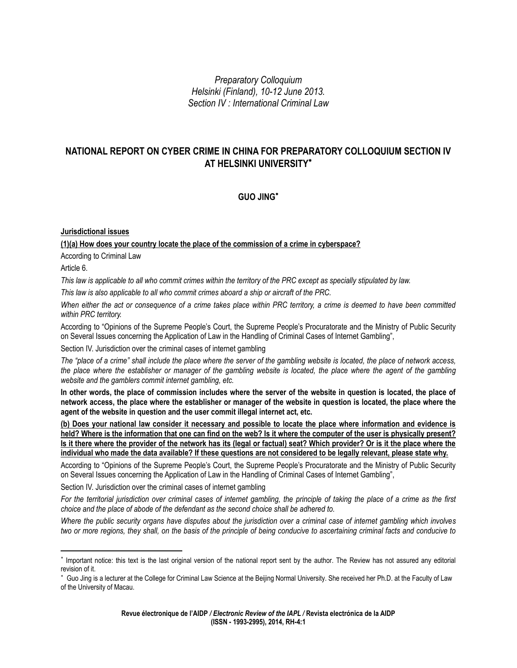*Preparatory Colloquium Helsinki (Finland), 10-12 June 2013. Section IV : International Criminal Law*

# **NATIONAL REPORT ON CYBER CRIME IN CHINA FOR PREPARATORY COLLOQUIUM SECTION IV AT HELSINKI UNIVERSITY**

## **GUO JING**

## **Jurisdictional issues**

## **(1)(a) How does your country locate the place of the commission of a crime in cyberspace?**

According to Criminal Law

Article 6.

 $\overline{\phantom{a}}$ 

*This law is applicable to all who commit crimes within the territory of the PRC except as specially stipulated by law.*

*This law is also applicable to all who commit crimes aboard a ship or aircraft of the PRC.*

*When either the act or consequence of a crime takes place within PRC territory, a crime is deemed to have been committed within PRC territory.*

According to "Opinions of the Supreme People's Court, the Supreme People's Procuratorate and the Ministry of Public Security on Several Issues concerning the Application of Law in the Handling of Criminal Cases of Internet Gambling",

Section IV. Jurisdiction over the criminal cases of internet gambling

*The "place of a crime" shall include the place where the server of the gambling website is located, the place of network access, the place where the establisher or manager of the gambling website is located, the place where the agent of the gambling website and the gamblers commit internet gambling, etc.*

**In other words, the place of commission includes where the server of the website in question is located, the place of network access, the place where the establisher or manager of the website in question is located, the place where the agent of the website in question and the user commit illegal internet act, etc.**

**(b) Does your national law consider it necessary and possible to locate the place where information and evidence is held? Where is the information that one can find on the web? Is it where the computer of the user is physically present? Is it there where the provider of the network has its (legal or factual) seat? Which provider? Or is it the place where the individual who made the data available? If these questions are not considered to be legally relevant, please state why.**

According to "Opinions of the Supreme People's Court, the Supreme People's Procuratorate and the Ministry of Public Security on Several Issues concerning the Application of Law in the Handling of Criminal Cases of Internet Gambling",

Section IV. Jurisdiction over the criminal cases of internet gambling

*For the territorial jurisdiction over criminal cases of internet gambling, the principle of taking the place of a crime as the first choice and the place of abode of the defendant as the second choice shall be adhered to.*

*Where the public security organs have disputes about the jurisdiction over a criminal case of internet gambling which involves two or more regions, they shall, on the basis of the principle of being conducive to ascertaining criminal facts and conducive to* 

<sup>\*</sup> Important notice: this text is the last original version of the national report sent by the author. The Review has not assured any editorial revision of it.

<sup>\*</sup>  Guo Jing is a lecturer at the College for Criminal Law Science at the Beijing Normal University. She received her Ph.D. at the Faculty of Law of the University of Macau.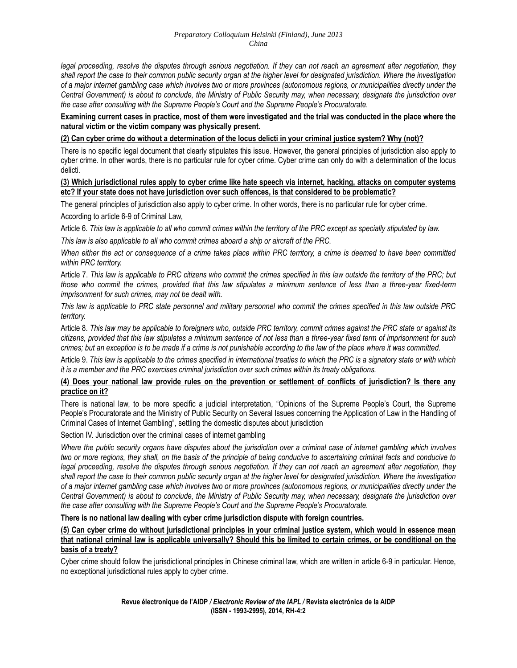legal proceeding, resolve the disputes through serious negotiation. If they can not reach an agreement after negotiation, they *shall report the case to their common public security organ at the higher level for designated jurisdiction. Where the investigation of a major internet gambling case which involves two or more provinces (autonomous regions, or municipalities directly under the Central Government) is about to conclude, the Ministry of Public Security may, when necessary, designate the jurisdiction over the case after consulting with the Supreme People's Court and the Supreme People's Procuratorate.*

**Examining current cases in practice, most of them were investigated and the trial was conducted in the place where the natural victim or the victim company was physically present.**

#### **(2) Can cyber crime do without a determination of the locus delicti in your criminal justice system? Why (not)?**

There is no specific legal document that clearly stipulates this issue. However, the general principles of jurisdiction also apply to cyber crime. In other words, there is no particular rule for cyber crime. Cyber crime can only do with a determination of the locus delicti.

#### **(3) Which jurisdictional rules apply to cyber crime like hate speech via internet, hacking, attacks on computer systems etc? If your state does not have jurisdiction over such offences, is that considered to be problematic?**

The general principles of jurisdiction also apply to cyber crime. In other words, there is no particular rule for cyber crime.

According to article 6-9 of Criminal Law,

Article 6. *This law is applicable to all who commit crimes within the territory of the PRC except as specially stipulated by law.*

*This law is also applicable to all who commit crimes aboard a ship or aircraft of the PRC.*

*When either the act or consequence of a crime takes place within PRC territory, a crime is deemed to have been committed within PRC territory.*

Article 7. *This law is applicable to PRC citizens who commit the crimes specified in this law outside the territory of the PRC; but those who commit the crimes, provided that this law stipulates a minimum sentence of less than a three-year fixed-term imprisonment for such crimes, may not be dealt with.*

*This law is applicable to PRC state personnel and military personnel who commit the crimes specified in this law outside PRC territory.*

Article 8. *This law may be applicable to foreigners who, outside PRC territory, commit crimes against the PRC state or against its citizens, provided that this law stipulates a minimum sentence of not less than a three-year fixed term of imprisonment for such crimes; but an exception is to be made if a crime is not punishable according to the law of the place where it was committed.*

Article 9. *This law is applicable to the crimes specified in international treaties to which the PRC is a signatory state or with which it is a member and the PRC exercises criminal jurisdiction over such crimes within its treaty obligations.*

#### **(4) Does your national law provide rules on the prevention or settlement of conflicts of jurisdiction? Is there any practice on it?**

There is national law, to be more specific a judicial interpretation, "Opinions of the Supreme People's Court, the Supreme People's Procuratorate and the Ministry of Public Security on Several Issues concerning the Application of Law in the Handling of Criminal Cases of Internet Gambling", settling the domestic disputes about jurisdiction

Section IV. Jurisdiction over the criminal cases of internet gambling

*Where the public security organs have disputes about the jurisdiction over a criminal case of internet gambling which involves two or more regions, they shall, on the basis of the principle of being conducive to ascertaining criminal facts and conducive to legal proceeding, resolve the disputes through serious negotiation. If they can not reach an agreement after negotiation, they shall report the case to their common public security organ at the higher level for designated jurisdiction. Where the investigation of a major internet gambling case which involves two or more provinces (autonomous regions, or municipalities directly under the Central Government) is about to conclude, the Ministry of Public Security may, when necessary, designate the jurisdiction over the case after consulting with the Supreme People's Court and the Supreme People's Procuratorate.*

**There is no national law dealing with cyber crime jurisdiction dispute with foreign countries.**

**(5) Can cyber crime do without jurisdictional principles in your criminal justice system, which would in essence mean that national criminal law is applicable universally? Should this be limited to certain crimes, or be conditional on the basis of a treaty?**

Cyber crime should follow the jurisdictional principles in Chinese criminal law, which are written in article 6-9 in particular. Hence, no exceptional jurisdictional rules apply to cyber crime.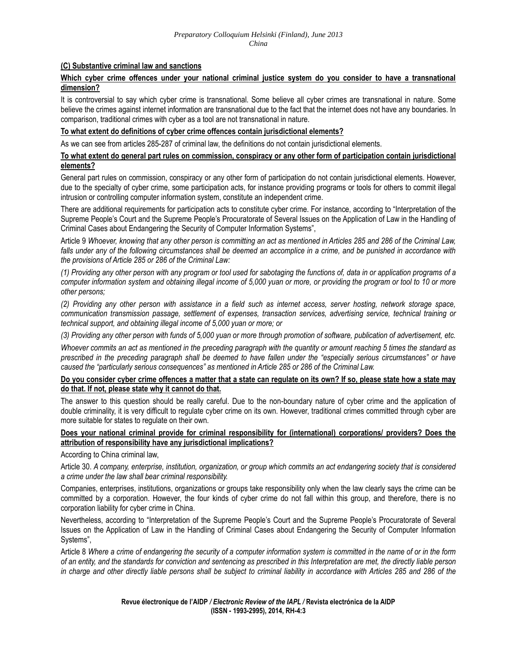#### **(C) Substantive criminal law and sanctions**

#### **Which cyber crime offences under your national criminal justice system do you consider to have a transnational dimension?**

It is controversial to say which cyber crime is transnational. Some believe all cyber crimes are transnational in nature. Some believe the crimes against internet information are transnational due to the fact that the internet does not have any boundaries. In comparison, traditional crimes with cyber as a tool are not transnational in nature.

#### **To what extent do definitions of cyber crime offences contain jurisdictional elements?**

As we can see from articles 285-287 of criminal law, the definitions do not contain jurisdictional elements.

#### **To what extent do general part rules on commission, conspiracy or any other form of participation contain jurisdictional elements?**

General part rules on commission, conspiracy or any other form of participation do not contain jurisdictional elements. However, due to the specialty of cyber crime, some participation acts, for instance providing programs or tools for others to commit illegal intrusion or controlling computer information system, constitute an independent crime.

There are additional requirements for participation acts to constitute cyber crime. For instance, according to "Interpretation of the Supreme People's Court and the Supreme People's Procuratorate of Several Issues on the Application of Law in the Handling of Criminal Cases about Endangering the Security of Computer Information Systems",

Article 9 *Whoever, knowing that any other person is committing an act as mentioned in Articles 285 and 286 of the Criminal Law,*  falls under any of the following circumstances shall be deemed an accomplice in a crime, and be punished in accordance with *the provisions of Article 285 or 286 of the Criminal Law:* 

*(1) Providing any other person with any program or tool used for sabotaging the functions of, data in or application programs of a computer information system and obtaining illegal income of 5,000 yuan or more, or providing the program or tool to 10 or more other persons;*

*(2) Providing any other person with assistance in a field such as internet access, server hosting, network storage space, communication transmission passage, settlement of expenses, transaction services, advertising service, technical training or technical support, and obtaining illegal income of 5,000 yuan or more; or*

*(3) Providing any other person with funds of 5,000 yuan or more through promotion of software, publication of advertisement, etc.*

*Whoever commits an act as mentioned in the preceding paragraph with the quantity or amount reaching 5 times the standard as prescribed in the preceding paragraph shall be deemed to have fallen under the "especially serious circumstances" or have caused the "particularly serious consequences" as mentioned in Article 285 or 286 of the Criminal Law.*

#### **Do you consider cyber crime offences a matter that a state can regulate on its own? If so, please state how a state may do that. If not, please state why it cannot do that.**

The answer to this question should be really careful. Due to the non-boundary nature of cyber crime and the application of double criminality, it is very difficult to regulate cyber crime on its own. However, traditional crimes committed through cyber are more suitable for states to regulate on their own.

#### **Does your national criminal provide for criminal responsibility for (international) corporations/ providers? Does the attribution of responsibility have any jurisdictional implications?**

According to China criminal law,

Article 30. *A company, enterprise, institution, organization, or group which commits an act endangering society that is considered a crime under the law shall bear criminal responsibility.*

Companies, enterprises, institutions, organizations or groups take responsibility only when the law clearly says the crime can be committed by a corporation. However, the four kinds of cyber crime do not fall within this group, and therefore, there is no corporation liability for cyber crime in China.

Nevertheless, according to "Interpretation of the Supreme People's Court and the Supreme People's Procuratorate of Several Issues on the Application of Law in the Handling of Criminal Cases about Endangering the Security of Computer Information Systems",

Article 8 *Where a crime of endangering the security of a computer information system is committed in the name of or in the form of an entity, and the standards for conviction and sentencing as prescribed in this Interpretation are met, the directly liable person in charge and other directly liable persons shall be subject to criminal liability in accordance with [Articles 285](javascript:ESLC(17010,285)) and [286](javascript:ESLC(17010,286)) of the*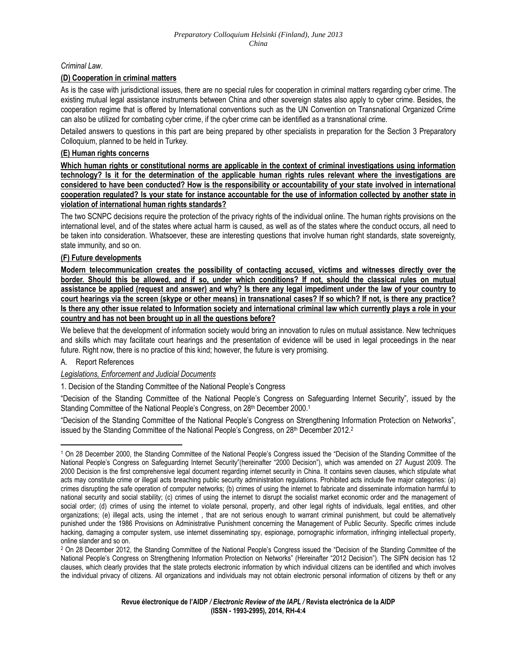### *[Criminal Law](javascript:ESLC(17010,0))*.

#### **(D) Cooperation in criminal matters**

As is the case with jurisdictional issues, there are no special rules for cooperation in criminal matters regarding cyber crime. The existing mutual legal assistance instruments between China and other sovereign states also apply to cyber crime. Besides, the cooperation regime that is offered by International conventions such as the UN Convention on Transnational Organized Crime can also be utilized for combating cyber crime, if the cyber crime can be identified as a transnational crime.

Detailed answers to questions in this part are being prepared by other specialists in preparation for the Section 3 Preparatory Colloquium, planned to be held in Turkey.

#### **(E) Human rights concerns**

**Which human rights or constitutional norms are applicable in the context of criminal investigations using information technology? Is it for the determination of the applicable human rights rules relevant where the investigations are considered to have been conducted? How is the responsibility or accountability of your state involved in international cooperation regulated? Is your state for instance accountable for the use of information collected by another state in violation of international human rights standards?**

The two SCNPC decisions require the protection of the privacy rights of the individual online. The human rights provisions on the international level, and of the states where actual harm is caused, as well as of the states where the conduct occurs, all need to be taken into consideration. Whatsoever, these are interesting questions that involve human right standards, state sovereignty, state immunity, and so on.

#### **(F) Future developments**

**Modern telecommunication creates the possibility of contacting accused, victims and witnesses directly over the border. Should this be allowed, and if so, under which conditions? If not, should the classical rules on mutual assistance be applied (request and answer) and why? Is there any legal impediment under the law of your country to court hearings via the screen (skype or other means) in transnational cases? If so which? If not, is there any practice? Is there any other issue related to Information society and international criminal law which currently plays a role in your country and has not been brought up in all the questions before?**

We believe that the development of information society would bring an innovation to rules on mutual assistance. New techniques and skills which may facilitate court hearings and the presentation of evidence will be used in legal proceedings in the near future. Right now, there is no practice of this kind; however, the future is very promising.

#### A. Report References

 $\overline{\phantom{a}}$ 

#### *Legislations, Enforcement and Judicial Documents*

1. Decision of the Standing Committee of the National People's Congress

"Decision of the Standing Committee of the National People's Congress on Safeguarding Internet Security", issued by the Standing Committee of the National People's Congress, on 28th December 2000.<sup>1</sup>

"Decision of the Standing Committee of the National People's Congress on Strengthening Information Protection on Networks", issued by the Standing Committee of the National People's Congress, on 28th December 2012.<sup>2</sup>

<sup>1</sup> On 28 December 2000, the Standing Committee of the National People's Congress issued the "Decision of the Standing Committee of the National People's Congress on Safeguarding Internet Security"(hereinafter "2000 Decision"), which was amended on 27 August 2009. The 2000 Decision is the first comprehensive legal document regarding internet security in China. It contains seven clauses, which stipulate what acts may constitute crime or illegal acts breaching public security administration regulations. Prohibited acts include five major categories: (a) crimes disrupting the safe operation of computer networks; (b) crimes of using the internet to fabricate and disseminate information harmful to national security and social stability; (c) crimes of using the internet to disrupt the socialist market economic order and the management of social order; (d) crimes of using the internet to violate personal, property, and other legal rights of individuals, legal entities, and other organizations; (e) illegal acts, using the internet , that are not serious enough to warrant criminal punishment, but could be alternatively punished under the 1986 Provisions on Administrative Punishment concerning the Management of Public Security. Specific crimes include hacking, damaging a computer system, use internet disseminating spy, espionage, pornographic information, infringing intellectual property, online slander and so on.

<sup>2</sup> On 28 December 2012, the Standing Committee of the National People's Congress issued the "Decision of the Standing Committee of the National People's Congress on Strengthening Information Protection on Networks" (Hereinafter "2012 Decision"). The SIPN decision has 12 clauses, which clearly provides that the state protects electronic information by which individual citizens can be identified and which involves the individual privacy of citizens. All organizations and individuals may not obtain electronic personal information of citizens by theft or any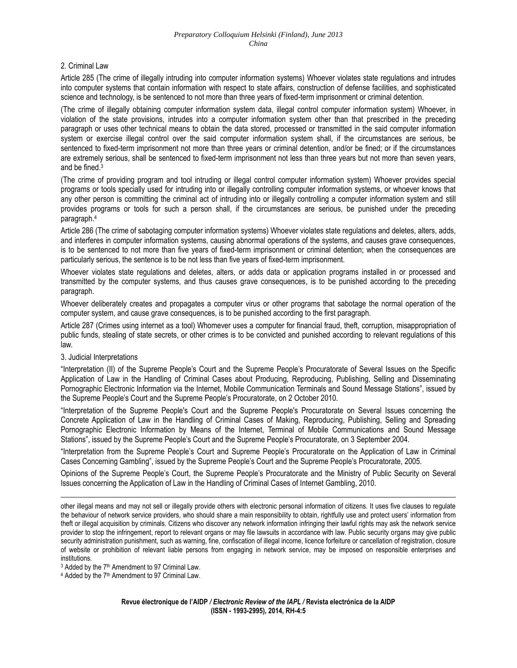#### 2. Criminal Law

Article 285 (The crime of illegally intruding into computer information systems) Whoever violates state regulations and intrudes into computer systems that contain information with respect to state affairs, construction of defense facilities, and sophisticated science and technology, is be sentenced to not more than three years of fixed-term imprisonment or criminal detention.

(The crime of illegally obtaining computer information system data, illegal control computer information system) Whoever, in violation of the state provisions, intrudes into a computer information system other than that prescribed in the preceding paragraph or uses other technical means to obtain the data stored, processed or transmitted in the said computer information system or exercise illegal control over the said computer information system shall, if the circumstances are serious, be sentenced to fixed-term imprisonment not more than three years or criminal detention, and/or be fined; or if the circumstances are extremely serious, shall be sentenced to fixed-term imprisonment not less than three years but not more than seven years, and be fined.<sup>3</sup>

(The crime of providing program and tool intruding or illegal control computer information system) Whoever provides special programs or tools specially used for intruding into or illegally controlling computer information systems, or whoever knows that any other person is committing the criminal act of intruding into or illegally controlling a computer information system and still provides programs or tools for such a person shall, if the circumstances are serious, be punished under the preceding paragraph.<sup>4</sup>

Article 286 (The crime of sabotaging computer information systems) Whoever violates state regulations and deletes, alters, adds, and interferes in computer information systems, causing abnormal operations of the systems, and causes grave consequences, is to be sentenced to not more than five years of fixed-term imprisonment or criminal detention; when the consequences are particularly serious, the sentence is to be not less than five years of fixed-term imprisonment.

Whoever violates state regulations and deletes, alters, or adds data or application programs installed in or processed and transmitted by the computer systems, and thus causes grave consequences, is to be punished according to the preceding paragraph.

Whoever deliberately creates and propagates a computer virus or other programs that sabotage the normal operation of the computer system, and cause grave consequences, is to be punished according to the first paragraph.

Article 287 (Crimes using internet as a tool) Whomever uses a computer for financial fraud, theft, corruption, misappropriation of public funds, stealing of state secrets, or other crimes is to be convicted and punished according to relevant regulations of this law.

#### 3. Judicial Interpretations

 $\overline{\phantom{a}}$ 

"Interpretation (II) of the Supreme People's Court and the Supreme People's Procuratorate of Several Issues on the Specific Application of Law in the Handling of Criminal Cases about Producing, Reproducing, Publishing, Selling and Disseminating Pornographic Electronic Information via the Internet, Mobile Communication Terminals and Sound Message Stations", issued by the Supreme People's Court and the Supreme People's Procuratorate, on 2 October 2010.

"Interpretation of the Supreme People's Court and the Supreme People's Procuratorate on Several Issues concerning the Concrete Application of Law in the Handling of Criminal Cases of Making, Reproducing, Publishing, Selling and Spreading Pornographic Electronic Information by Means of the Internet, Terminal of Mobile Communications and Sound Message Stations", issued by the Supreme People's Court and the Supreme People's Procuratorate, on 3 September 2004.

"Interpretation from the Supreme People's Court and Supreme People's Procuratorate on the Application of Law in Criminal Cases Concerning Gambling", issued by the Supreme People's Court and the Supreme People's Procuratorate, 2005.

Opinions of the Supreme People's Court, the Supreme People's Procuratorate and the Ministry of Public Security on Several Issues concerning the Application of Law in the Handling of Criminal Cases of Internet Gambling, 2010.

other illegal means and may not sell or illegally provide others with electronic personal information of citizens. It uses five clauses to regulate the behaviour of network service providers, who should share a main responsibility to obtain, rightfully use and protect users' information from theft or illegal acquisition by criminals. Citizens who discover any network information infringing their lawful rights may ask the network service provider to stop the infringement, report to relevant organs or may file lawsuits in accordance with law. Public security organs may give public security administration punishment, such as warning, fine, confiscation of illegal income, licence forfeiture or cancellation of registration, closure of website or prohibition of relevant liable persons from engaging in network service, may be imposed on responsible enterprises and institutions.

<sup>&</sup>lt;sup>3</sup> Added by the 7<sup>th</sup> Amendment to 97 Criminal Law.

<sup>&</sup>lt;sup>4</sup> Added by the 7<sup>th</sup> Amendment to 97 Criminal Law.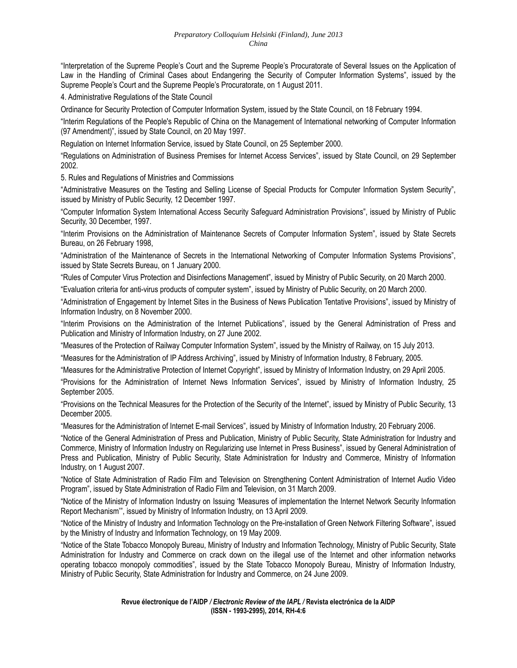#### *Preparatory Colloquium Helsinki (Finland), June 2013 China*

"Interpretation of the Supreme People's Court and the Supreme People's Procuratorate of Several Issues on the Application of Law in the Handling of Criminal Cases about Endangering the Security of Computer Information Systems", issued by the Supreme People's Court and the Supreme People's Procuratorate, on 1 August 2011.

4. Administrative Regulations of the State Council

Ordinance for Security Protection of Computer Information System, issued by the State Council, on 18 February 1994.

"Interim Regulations of the People's Republic of China on the Management of International networking of Computer Information (97 Amendment)", issued by State Council, on 20 May 1997.

Regulation on Internet Information Service, issued by State Council, on 25 September 2000.

"Regulations on Administration of Business Premises for Internet Access Services", issued by State Council, on 29 September 2002.

5. Rules and Regulations of Ministries and Commissions

"Administrative Measures on the Testing and Selling License of Special Products for Computer Information System Security", issued by Ministry of Public Security, 12 December 1997.

"Computer Information System International Access Security Safeguard Administration Provisions", issued by Ministry of Public Security, 30 December, 1997.

"Interim Provisions on the Administration of Maintenance Secrets of Computer Information System", issued by State Secrets Bureau, on 26 February 1998,

"Administration of the Maintenance of Secrets in the International Networking of Computer Information Systems Provisions", issued by State Secrets Bureau, on 1 January 2000.

"Rules of Computer Virus Protection and Disinfections Management", issued by Ministry of Public Security, on 20 March 2000.

"Evaluation criteria for anti-virus products of computer system", issued by Ministry of Public Security, on 20 March 2000.

"Administration of Engagement by Internet Sites in the Business of News Publication Tentative Provisions", issued by Ministry of Information Industry, on 8 November 2000.

"Interim Provisions on the Administration of the Internet Publications", issued by the General Administration of Press and Publication and Ministry of Information Industry, on 27 June 2002.

"Measures of the Protection of Railway Computer Information System", issued by the Ministry of Railway, on 15 July 2013.

"Measures for the Administration of IP Address Archiving", issued by Ministry of Information Industry, 8 February, 2005.

"Measures for the Administrative Protection of Internet Copyright", issued by Ministry of Information Industry, on 29 April 2005.

"Provisions for the Administration of Internet News Information Services", issued by Ministry of Information Industry, 25 September 2005.

"Provisions on the Technical Measures for the Protection of the Security of the Internet", issued by Ministry of Public Security, 13 December 2005.

"Measures for the Administration of Internet E-mail Services", issued by Ministry of Information Industry, 20 February 2006.

"Notice of the General Administration of Press and Publication, Ministry of Public Security, State Administration for Industry and Commerce, Ministry of Information Industry on Regularizing use Internet in Press Business", issued by General Administration of Press and Publication, Ministry of Public Security, State Administration for Industry and Commerce, Ministry of Information Industry, on 1 August 2007.

"Notice of State Administration of Radio Film and Television on Strengthening Content Administration of Internet Audio Video Program", issued by State Administration of Radio Film and Television, on 31 March 2009.

"Notice of the Ministry of Information Industry on Issuing 'Measures of implementation the Internet Network Security Information Report Mechanism'", issued by Ministry of Information Industry, on 13 April 2009.

"Notice of the Ministry of Industry and Information Technology on the Pre-installation of Green Network Filtering Software", issued by the Ministry of Industry and Information Technology, on 19 May 2009.

"Notice of the State Tobacco Monopoly Bureau, Ministry of Industry and Information Technology, Ministry of Public Security, State Administration for Industry and Commerce on crack down on the illegal use of the Internet and other information networks operating tobacco monopoly commodities", issued by the State Tobacco Monopoly Bureau, Ministry of Information Industry, Ministry of Public Security, State Administration for Industry and Commerce, on 24 June 2009.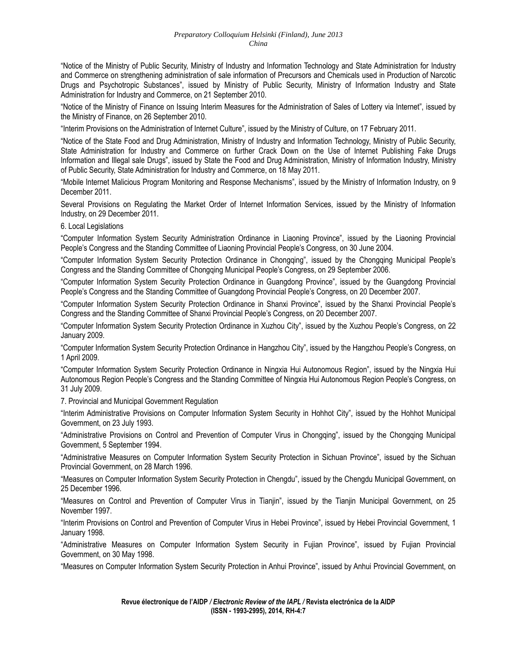"Notice of the Ministry of Public Security, Ministry of Industry and Information Technology and State Administration for Industry and Commerce on strengthening administration of sale information of Precursors and Chemicals used in Production of Narcotic Drugs and Psychotropic Substances", issued by Ministry of Public Security, Ministry of Information Industry and State Administration for Industry and Commerce, on 21 September 2010.

"Notice of the Ministry of Finance on Issuing Interim Measures for the Administration of Sales of Lottery via Internet", issued by the Ministry of Finance, on 26 September 2010.

"Interim Provisions on the Administration of Internet Culture", issued by the Ministry of Culture, on 17 February 2011.

"Notice of the State Food and Drug Administration, Ministry of Industry and Information Technology, Ministry of Public Security, State Administration for Industry and Commerce on further Crack Down on the Use of Internet Publishing Fake Drugs Information and Illegal sale Drugs", issued by State the Food and Drug Administration, Ministry of Information Industry, Ministry of Public Security, State Administration for Industry and Commerce, on 18 May 2011.

"Mobile Internet Malicious Program Monitoring and Response Mechanisms", issued by the Ministry of Information Industry, on 9 December 2011.

Several Provisions on Regulating the Market Order of Internet Information Services, issued by the Ministry of Information Industry, on 29 December 2011.

6. Local Legislations

"Computer Information System Security Administration Ordinance in Liaoning Province", issued by the Liaoning Provincial People's Congress and the Standing Committee of Liaoning Provincial People's Congress, on 30 June 2004.

"Computer Information System Security Protection Ordinance in Chongqing", issued by the Chongqing Municipal People's Congress and the Standing Committee of Chongqing Municipal People's Congress, on 29 September 2006.

"Computer Information System Security Protection Ordinance in Guangdong Province", issued by the Guangdong Provincial People's Congress and the Standing Committee of Guangdong Provincial People's Congress, on 20 December 2007.

"Computer Information System Security Protection Ordinance in Shanxi Province", issued by the Shanxi Provincial People's Congress and the Standing Committee of Shanxi Provincial People's Congress, on 20 December 2007.

"Computer Information System Security Protection Ordinance in Xuzhou City", issued by the Xuzhou People's Congress, on 22 January 2009.

"Computer Information System Security Protection Ordinance in Hangzhou City", issued by the Hangzhou People's Congress, on 1 April 2009.

"Computer Information System Security Protection Ordinance in Ningxia Hui Autonomous Region", issued by the Ningxia Hui Autonomous Region People's Congress and the Standing Committee of Ningxia Hui Autonomous Region People's Congress, on 31 July 2009.

7. Provincial and Municipal Government Regulation

"Interim Administrative Provisions on Computer Information System Security in Hohhot City", issued by the Hohhot Municipal Government, on 23 July 1993.

"Administrative Provisions on Control and Prevention of Computer Virus in Chongqing", issued by the Chongqing Municipal Government, 5 September 1994.

"Administrative Measures on Computer Information System Security Protection in Sichuan Province", issued by the Sichuan Provincial Government, on 28 March 1996.

"Measures on Computer Information System Security Protection in Chengdu", issued by the Chengdu Municipal Government, on 25 December 1996.

"Measures on Control and Prevention of Computer Virus in Tianjin", issued by the Tianjin Municipal Government, on 25 November 1997.

"Interim Provisions on Control and Prevention of Computer Virus in Hebei Province", issued by Hebei Provincial Government, 1 January 1998.

"Administrative Measures on Computer Information System Security in Fujian Province", issued by Fujian Provincial Government, on 30 May 1998.

"Measures on Computer Information System Security Protection in Anhui Province", issued by Anhui Provincial Government, on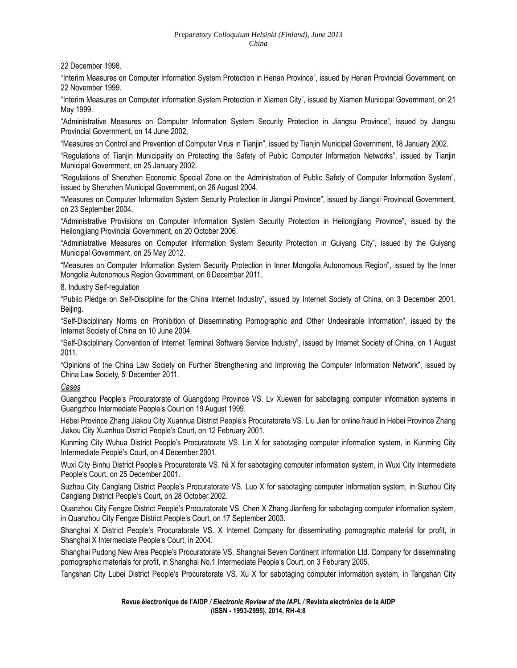22 December 1998.

"Interim Measures on Computer Information System Protection in Henan Province", issued by Henan Provincial Government, on 22 November 1999.

"Interim Measures on Computer Information System Protection in Xiamen City", issued by Xiamen Municipal Government, on 21 May 1999.

"Administrative Measures on Computer Information System Security Protection in Jiangsu Province", issued by Jiangsu Provincial Government, on 14 June 2002.

"Measures on Control and Prevention of Computer Virus in Tianjin", issued by Tianjin Municipal Government, 18 January 2002.

"Regulations of Tianjin Municipality on Protecting the Safety of Public Computer Information Networks", issued by Tianjin Municipal Government, on 25 January 2002.

"Regulations of Shenzhen Economic Special Zone on the Administration of Public Safety of Computer Information System", issued by Shenzhen Municipal Government, on 26 August 2004.

"Measures on Computer Information System Security Protection in Jiangxi Province", issued by Jiangxi Provincial Government, on 23 September 2004.

"Administrative Provisions on Computer Information System Security Protection in Heilongjiang Province", issued by the Heilongjiang Provincial Government, on 20 October 2006.

"Administrative Measures on Computer Information System Security Protection in Guiyang City", issued by the Guiyang Municipal Government, on 25 May 2012.

"Measures on Computer Information System Security Protection in Inner Mongolia Autonomous Region", issued by the Inner Mongolia Autonomous Region Government, on 6December 2011.

8. Industry Self-regulation

"Public Pledge on Self-Discipline for the China Internet Industry", issued by Internet Society of China, on 3 December 2001, Beijing.

"Self-Disciplinary Norms on Prohibition of Disseminating Pornographic and Other Undesirable Information", issued by the Internet Society of China on 10 June 2004.

"Self-Disciplinary Convention of Internet Terminal Software Service Industry", issued by Internet Society of China, on 1 August 2011.

"Opinions of the China Law Society on Further Strengthening and Improving the Computer Information Network", issued by China Law Society, 5<sup>t</sup> December 2011.

*Cases*

Guangzhou People's Procuratorate of Guangdong Province VS. Lv Xuewen for sabotaging computer information systems in Guangzhou Intermediate People's Court on 19 August 1999.

Hebei Province Zhang Jiakou City Xuanhua District People's Procuratorate VS. Liu Jian for online fraud in Hebei Province Zhang Jiakou City Xuanhua District People's Court, on 12 February 2001.

Kunming City Wuhua District People's Procuratorate VS. Lin X for sabotaging computer information system, in Kunming City Intermediate People's Court, on 4 December 2001.

Wuxi City Binhu District People's Procuratorate VS. Ni X for sabotaging computer information system, in Wuxi City Intermediate People's Court, on 25 December 2001.

Suzhou City Canglang District People's Procuratorate VS. Luo X for sabotaging computer information system, in Suzhou City Canglang District People's Court, on 28 October 2002.

Quanzhou City Fengze District People's Procuratorate VS. Chen X Zhang Jianfeng for sabotaging computer information system, in Quanzhou City Fengze District People's Court, on 17 September 2003.

Shanghai X District People's Procuratorate VS. X Internet Company for disseminating pornographic material for profit, in Shanghai X Intermediate People's Court, in 2004.

Shanghai Pudong New Area People's Procuratorate VS. Shanghai Seven Continent Information Ltd. Company for disseminating pornographic materials for profit, in Shanghai No.1 Intermediate People's Court, on 3 Feburary 2005.

Tangshan City Lubei District People's Procuratorate VS. Xu X for sabotaging computer information system, in Tangshan City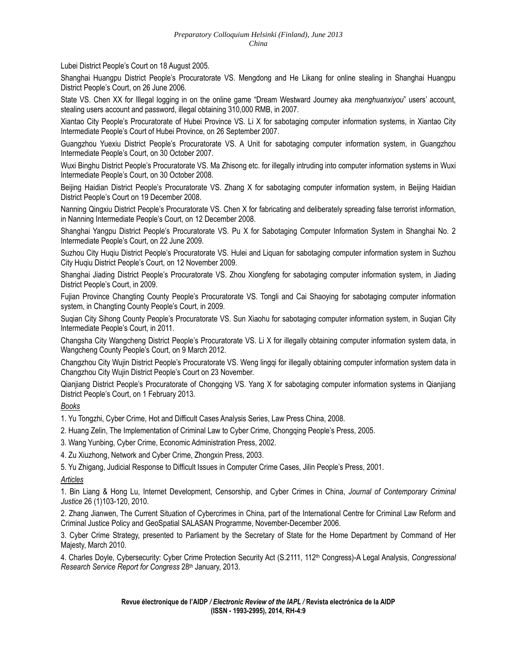Lubei District People's Court on 18 August 2005.

Shanghai Huangpu District People's Procuratorate VS. Mengdong and He Likang for online stealing in Shanghai Huangpu District People's Court, on 26 June 2006.

State VS. Chen XX for Illegal logging in on the online game "Dream Westward Journey aka *menghuanxiyou*" users' account, stealing users account and password, illegal obtaining 310,000 RMB, in 2007.

Xiantao City People's Procuratorate of Hubei Province VS. Li X for sabotaging computer information systems, in Xiantao City Intermediate People's Court of Hubei Province, on 26 September 2007.

Guangzhou Yuexiu District People's Procuratorate VS. A Unit for sabotaging computer information system, in Guangzhou Intermediate People's Court, on 30 October 2007.

Wuxi Binghu District People's Procuratorate VS. Ma Zhisong etc. for illegally intruding into computer information systems in Wuxi Intermediate People's Court, on 30 October 2008.

Beijing Haidian District People's Procuratorate VS. Zhang X for sabotaging computer information system, in Beijing Haidian District People's Court on 19 December 2008.

Nanning Qingxiu District People's Procuratorate VS. Chen X for fabricating and deliberately spreading false terrorist information, in Nanning Intermediate People's Court, on 12 December 2008.

Shanghai Yangpu District People's Procuratorate VS. Pu X for Sabotaging Computer Information System in Shanghai No. 2 Intermediate People's Court, on 22 June 2009.

Suzhou City Huqiu District People's Procuratorate VS. Hulei and Liquan for sabotaging computer information system in Suzhou City Huqiu District People's Court, on 12 November 2009.

Shanghai Jiading District People's Procuratorate VS. Zhou Xiongfeng for sabotaging computer information system, in Jiading District People's Court, in 2009.

Fujian Province Changting County People's Procuratorate VS. Tongli and Cai Shaoying for sabotaging computer information system, in Changting County People's Court, in 2009.

Suqian City Sihong County People's Procuratorate VS. Sun Xiaohu for sabotaging computer information system, in Suqian City Intermediate People's Court, in 2011.

Changsha City Wangcheng District People's Procuratorate VS. Li X for illegally obtaining computer information system data, in Wangcheng County People's Court, on 9 March 2012.

Changzhou City Wujin District People's Procuratorate VS. Weng lingqi for illegally obtaining computer information system data in Changzhou City Wujin District People's Court on 23 November.

Qianjiang District People's Procuratorate of Chongqing VS. Yang X for sabotaging computer information systems in Qianjiang District People's Court, on 1 February 2013.

*Books*

1. Yu Tongzhi, Cyber Crime, Hot and Difficult Cases Analysis Series, Law Press China, 2008.

- 2. Huang Zelin, The Implementation of Criminal Law to Cyber Crime, Chongqing People's Press, 2005.
- 3. Wang Yunbing, Cyber Crime, Economic Administration Press, 2002.
- 4. Zu Xiuzhong, Network and Cyber Crime, Zhongxin Press, 2003.
- 5. Yu Zhigang, Judicial Response to Difficult Issues in Computer Crime Cases, Jilin People's Press, 2001.

#### *Articles*

1. Bin Liang & Hong Lu, Internet Development, Censorship, and Cyber Crimes in China, *Journal of Contemporary Criminal Justice* 26 (1)103-120, 2010.

2. Zhang Jianwen, The Current Situation of Cybercrimes in China, part of the International Centre for Criminal Law Reform and Criminal Justice Policy and GeoSpatial SALASAN Programme, November-December 2006.

3. Cyber Crime Strategy, presented to Parliament by the Secretary of State for the Home Department by Command of Her Majesty, March 2010.

4. Charles Doyle, Cybersecurity: Cyber Crime Protection Security Act (S.2111, 112th Congress)-A Legal Analysis, *Congressional Research Service Report for Congress* 28th January, 2013.